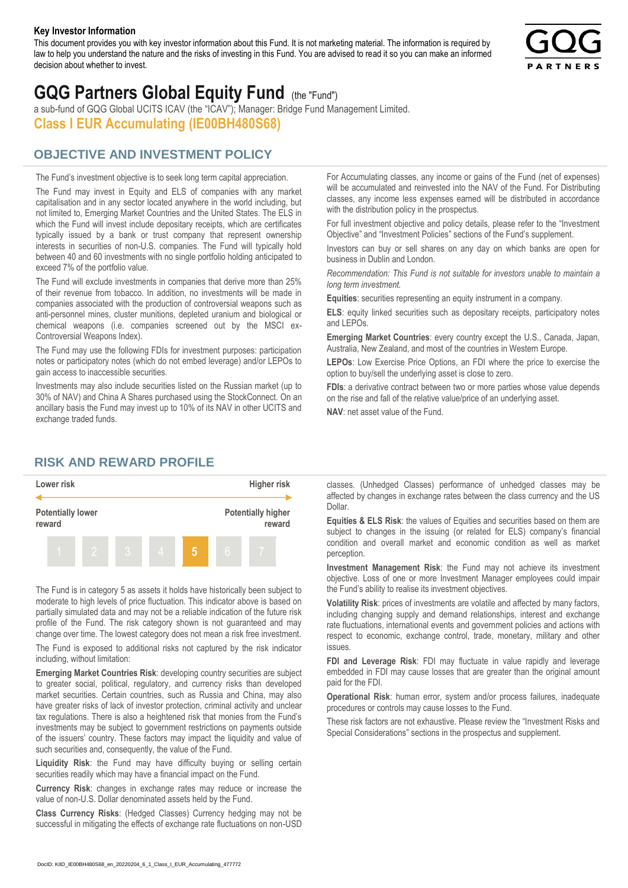#### **Key Investor Information**

This document provides you with key investor information about this Fund. It is not marketing material. The information is required by law to help you understand the nature and the risks of investing in this Fund. You are advised to read it so you can make an informed decision about whether to invest.



# **GQG Partners Global Equity Fund** (the "Fund")

a sub-fund of GQG Global UCITS ICAV (the "ICAV"); Manager: Bridge Fund Management Limited. **Class I EUR Accumulating (IE00BH480S68)**

# **OBJECTIVE AND INVESTMENT POLICY**

The Fund's investment objective is to seek long term capital appreciation. The Fund may invest in Equity and ELS of companies with any market capitalisation and in any sector located anywhere in the world including, but not limited to, Emerging Market Countries and the United States. The ELS in which the Fund will invest include depositary receipts, which are certificates typically issued by a bank or trust company that represent ownership interests in securities of non-U.S. companies. The Fund will typically hold between 40 and 60 investments with no single portfolio holding anticipated to exceed 7% of the portfolio value.

The Fund will exclude investments in companies that derive more than 25% of their revenue from tobacco. In addition, no investments will be made in companies associated with the production of controversial weapons such as anti-personnel mines, cluster munitions, depleted uranium and biological or chemical weapons (i.e. companies screened out by the MSCI ex-Controversial Weapons Index).

The Fund may use the following FDIs for investment purposes: participation notes or participatory notes (which do not embed leverage) and/or LEPOs to gain access to inaccessible securities.

Investments may also include securities listed on the Russian market (up to 30% of NAV) and China A Shares purchased using the StockConnect. On an ancillary basis the Fund may invest up to 10% of its NAV in other UCITS and exchange traded funds.

For Accumulating classes, any income or gains of the Fund (net of expenses) will be accumulated and reinvested into the NAV of the Fund. For Distributing classes, any income less expenses earned will be distributed in accordance with the distribution policy in the prospectus.

For full investment objective and policy details, please refer to the "Investment Objective" and "Investment Policies" sections of the Fund's supplement.

Investors can buy or sell shares on any day on which banks are open for business in Dublin and London.

*Recommendation: This Fund is not suitable for investors unable to maintain a long term investment.*

**Equities**: securities representing an equity instrument in a company.

**ELS**: equity linked securities such as depositary receipts, participatory notes and LEPOs.

**Emerging Market Countries**: every country except the U.S., Canada, Japan, Australia, New Zealand, and most of the countries in Western Europe.

**LEPOs**: Low Exercise Price Options, an FDI where the price to exercise the option to buy/sell the underlying asset is close to zero.

**FDIs**: a derivative contract between two or more parties whose value depends on the rise and fall of the relative value/price of an underlying asset.

**NAV**: net asset value of the Fund.

### **RISK AND REWARD PROFILE**



The Fund is in category 5 as assets it holds have historically been subject to moderate to high levels of price fluctuation. This indicator above is based on partially simulated data and may not be a reliable indication of the future risk profile of the Fund. The risk category shown is not guaranteed and may change over time. The lowest category does not mean a risk free investment.

The Fund is exposed to additional risks not captured by the risk indicator including, without limitation:

**Emerging Market Countries Risk**: developing country securities are subject to greater social, political, regulatory, and currency risks than developed market securities. Certain countries, such as Russia and China, may also have greater risks of lack of investor protection, criminal activity and unclear tax regulations. There is also a heightened risk that monies from the Fund's investments may be subject to government restrictions on payments outside of the issuers' country. These factors may impact the liquidity and value of such securities and, consequently, the value of the Fund.

**Liquidity Risk**: the Fund may have difficulty buying or selling certain securities readily which may have a financial impact on the Fund.

**Currency Risk**: changes in exchange rates may reduce or increase the value of non-U.S. Dollar denominated assets held by the Fund.

**Class Currency Risks**: (Hedged Classes) Currency hedging may not be successful in mitigating the effects of exchange rate fluctuations on non-USD classes. (Unhedged Classes) performance of unhedged classes may be affected by changes in exchange rates between the class currency and the US Dollar.

**Equities & ELS Risk**: the values of Equities and securities based on them are subject to changes in the issuing (or related for ELS) company's financial condition and overall market and economic condition as well as market perception.

**Investment Management Risk**: the Fund may not achieve its investment objective. Loss of one or more Investment Manager employees could impair the Fund's ability to realise its investment objectives.

**Volatility Risk**: prices of investments are volatile and affected by many factors, including changing supply and demand relationships, interest and exchange rate fluctuations, international events and government policies and actions with respect to economic, exchange control, trade, monetary, military and other issues.

**FDI and Leverage Risk**: FDI may fluctuate in value rapidly and leverage embedded in FDI may cause losses that are greater than the original amount paid for the FDI.

**Operational Risk**: human error, system and/or process failures, inadequate procedures or controls may cause losses to the Fund.

These risk factors are not exhaustive. Please review the "Investment Risks and Special Considerations" sections in the prospectus and supplement.